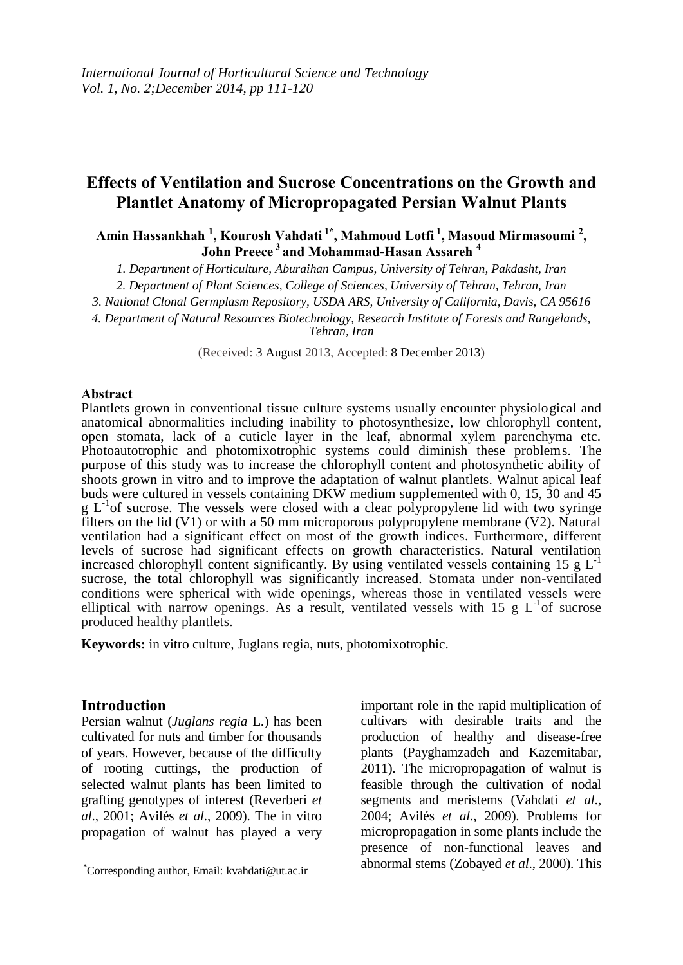# **Effects of Ventilation and Sucrose Concentrations on the Growth and Plantlet Anatomy of Micropropagated Persian Walnut Plants**

### **Amin Hassankhah <sup>1</sup> , Kourosh Vahdati 1\* , Mahmoud Lotfi <sup>1</sup> , Masoud Mirmasoumi <sup>2</sup> , John Preece <sup>3</sup>and Mohammad-Hasan Assareh <sup>4</sup>**

*1. Department of Horticulture, Aburaihan Campus, University of Tehran, Pakdasht, Iran*

*2. Department of Plant Sciences, College of Sciences, University of Tehran, Tehran, Iran*

*3. National Clonal Germplasm Repository, USDA ARS, University of California, Davis, CA 95616*

*4. Department of Natural Resources Biotechnology, Research Institute of Forests and Rangelands,* 

*Tehran, Iran*

(Received: 3 August 2013, Accepted: 8 December 2013)

#### **Abstract**

Plantlets grown in conventional tissue culture systems usually encounter physiological and anatomical abnormalities including inability to photosynthesize, low chlorophyll content, open stomata, lack of a cuticle layer in the leaf, abnormal xylem parenchyma etc. Photoautotrophic and photomixotrophic systems could diminish these problems. The purpose of this study was to increase the chlorophyll content and photosynthetic ability of shoots grown in vitro and to improve the adaptation of walnut plantlets. Walnut apical leaf buds were cultured in vessels containing DKW medium supplemented with 0, 15, 30 and 45  $g L<sup>-1</sup>$ of sucrose. The vessels were closed with a clear polypropylene lid with two syringe filters on the lid (V1) or with a 50 mm microporous polypropylene membrane (V2). Natural ventilation had a significant effect on most of the growth indices. Furthermore, different levels of sucrose had significant effects on growth characteristics. Natural ventilation increased chlorophyll content significantly. By using ventilated vessels containing 15 g  $L^{-1}$ sucrose, the total chlorophyll was significantly increased. Stomata under non-ventilated conditions were spherical with wide openings, whereas those in ventilated vessels were elliptical with narrow openings. As a result, ventilated vessels with 15 g  $L^{-1}$  of sucrose produced healthy plantlets.

**Keywords:** in vitro culture, Juglans regia, nuts, photomixotrophic.

#### **Introduction**

Persian walnut (*Juglans regia* L.) has been cultivated for nuts and timber for thousands of years. However, because of the difficulty of rooting cuttings, the production of selected walnut plants has been limited to grafting genotypes of interest (Reverberi *et al*., 2001; Avilés *et al*., 2009). The in vitro propagation of walnut has played a very

important role in the rapid multiplication of cultivars with desirable traits and the production of healthy and disease-free plants (Payghamzadeh and Kazemitabar, 2011). The micropropagation of walnut is feasible through the cultivation of nodal segments and meristems (Vahdati *et al*., 2004; Avilés *et al*., 2009). Problems for micropropagation in some plants include the presence of non-functional leaves and abnormal stems (Zobayed *et al*., 2000). This

 $\overline{\phantom{a}}$ \*Corresponding author, Email: kvahdati@ut.ac.ir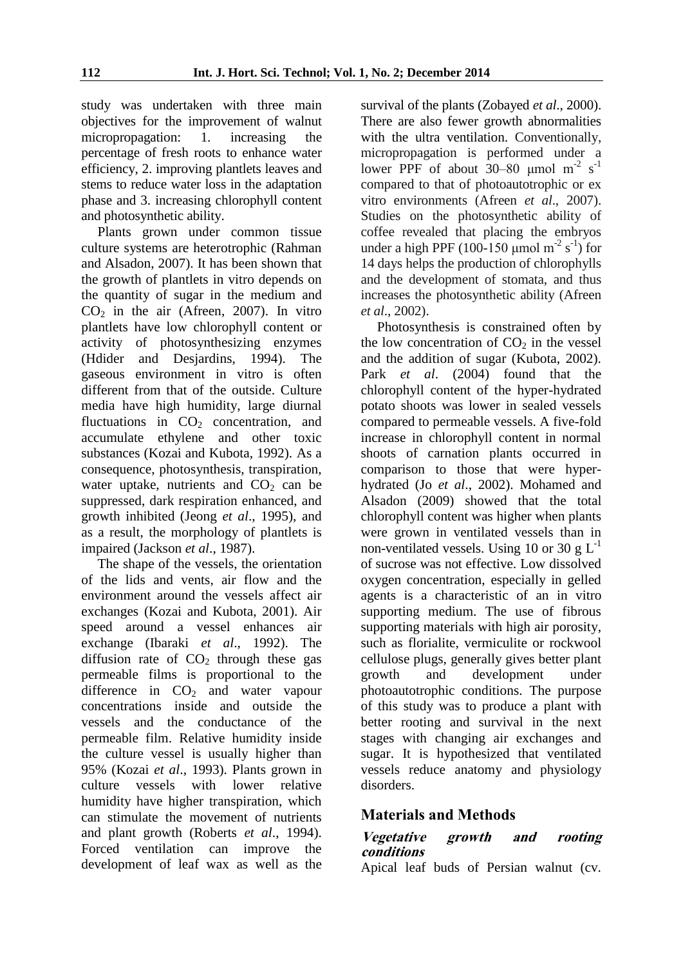study was undertaken with three main objectives for the improvement of walnut micropropagation: 1. increasing the percentage of fresh roots to enhance water efficiency, 2. improving plantlets leaves and stems to reduce water loss in the adaptation phase and 3. increasing chlorophyll content and photosynthetic ability.

Plants grown under common tissue culture systems are heterotrophic (Rahman and Alsadon, 2007). It has been shown that the growth of plantlets in vitro depends on the quantity of sugar in the medium and  $CO<sub>2</sub>$  in the air (Afreen, 2007). In vitro plantlets have low chlorophyll content or activity of photosynthesizing enzymes (Hdider and Desjardins, 1994). The gaseous environment in vitro is often different from that of the outside. Culture media have high humidity, large diurnal fluctuations in  $CO<sub>2</sub>$  concentration, and accumulate ethylene and other toxic substances (Kozai and Kubota, 1992). As a consequence, photosynthesis, transpiration, water uptake, nutrients and  $CO<sub>2</sub>$  can be suppressed, dark respiration enhanced, and growth inhibited (Jeong *et al*., 1995), and as a result, the morphology of plantlets is impaired (Jackson *et al*., 1987).

The shape of the vessels, the orientation of the lids and vents, air flow and the environment around the vessels affect air exchanges (Kozai and Kubota, 2001). Air speed around a vessel enhances air exchange (Ibaraki *et al*., 1992). The diffusion rate of  $CO<sub>2</sub>$  through these gas permeable films is proportional to the difference in  $CO<sub>2</sub>$  and water vapour concentrations inside and outside the vessels and the conductance of the permeable film. Relative humidity inside the culture vessel is usually higher than 95% (Kozai *et al*., 1993). Plants grown in culture vessels with lower relative humidity have higher transpiration, which can stimulate the movement of nutrients and plant growth (Roberts *et al*., 1994). Forced ventilation can improve the development of leaf wax as well as the

survival of the plants (Zobayed *et al*., 2000). There are also fewer growth abnormalities with the ultra ventilation. Conventionally, micropropagation is performed under a lower PPF of about 30–80  $\mu$ mol m<sup>-2</sup> s<sup>-1</sup> compared to that of photoautotrophic or ex vitro environments (Afreen *et al*., 2007). Studies on the photosynthetic ability of coffee revealed that placing the embryos under a high PPF (100-150  $\mu$ mol m<sup>-2</sup> s<sup>-1</sup>) for 14 days helps the production of chlorophylls and the development of stomata, and thus increases the photosynthetic ability (Afreen *et al*., 2002).

Photosynthesis is constrained often by the low concentration of  $CO<sub>2</sub>$  in the vessel and the addition of sugar (Kubota, 2002). Park *et al*. (2004) found that the chlorophyll content of the hyper-hydrated potato shoots was lower in sealed vessels compared to permeable vessels. A five-fold increase in chlorophyll content in normal shoots of carnation plants occurred in comparison to those that were hyperhydrated (Jo *et al*., 2002). Mohamed and Alsadon (2009) showed that the total chlorophyll content was higher when plants were grown in ventilated vessels than in non-ventilated vessels. Using 10 or 30 g  $L^{-1}$ of sucrose was not effective. Low dissolved oxygen concentration, especially in gelled agents is a characteristic of an in vitro supporting medium. The use of fibrous supporting materials with high air porosity, such as florialite, vermiculite or rockwool cellulose plugs, generally gives better plant growth and development under photoautotrophic conditions. The purpose of this study was to produce a plant with better rooting and survival in the next stages with changing air exchanges and sugar. It is hypothesized that ventilated vessels reduce anatomy and physiology disorders.

## **Materials and Methods**

#### **Vegetative growth and rooting conditions**

Apical leaf buds of Persian walnut (cv.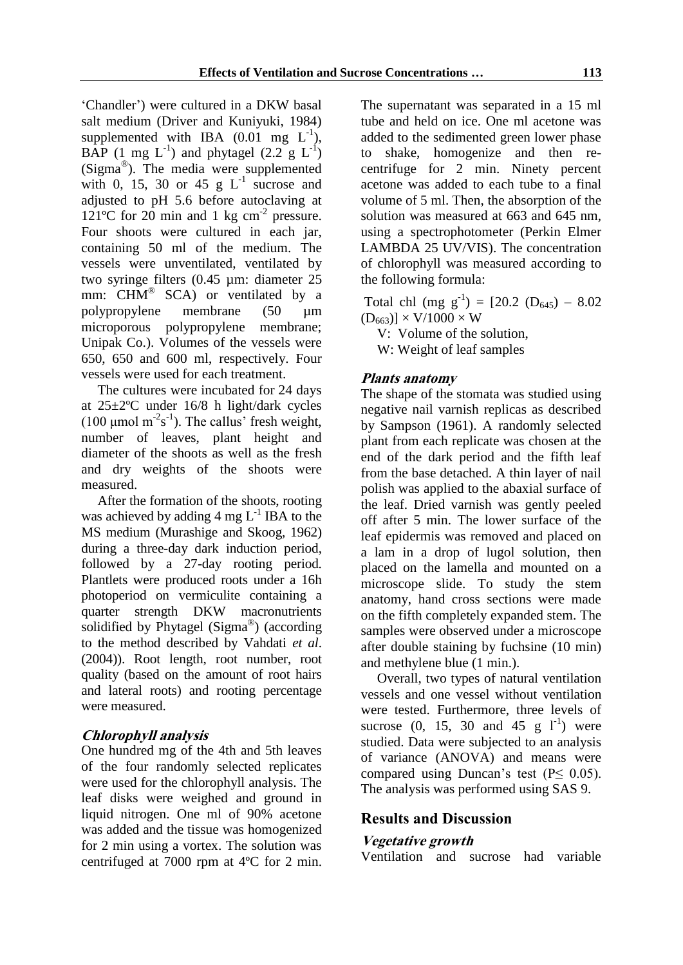'Chandler') were cultured in a DKW basal salt medium (Driver and Kuniyuki, 1984) supplemented with IBA  $(0.01 \text{ mg } L^{-1})$ , BAP (1 mg  $L^{-1}$ ) and phytagel (2.2 g  $L^{-1}$ ) (Sigma® ). The media were supplemented with 0, 15, 30 or 45  $g L^{-1}$  sucrose and adjusted to pH 5.6 before autoclaving at 121°C for 20 min and 1 kg  $cm<sup>-2</sup>$  pressure. Four shoots were cultured in each jar, containing 50 ml of the medium. The vessels were unventilated, ventilated by two syringe filters (0.45 µm: diameter 25 mm: CHM<sup>®</sup> SCA) or ventilated by a polypropylene membrane (50 µm microporous polypropylene membrane; Unipak Co.). Volumes of the vessels were 650, 650 and 600 ml, respectively. Four vessels were used for each treatment.

The cultures were incubated for 24 days at 25±2ºC under 16/8 h light/dark cycles (100  $\mu$ mol m<sup>-2</sup>s<sup>-1</sup>). The callus' fresh weight, number of leaves, plant height and diameter of the shoots as well as the fresh and dry weights of the shoots were measured.

After the formation of the shoots, rooting was achieved by adding  $4 \text{ mg } L^{-1}$  IBA to the MS medium (Murashige and Skoog, 1962) during a three-day dark induction period, followed by a 27-day rooting period. Plantlets were produced roots under a 16h photoperiod on vermiculite containing a quarter strength DKW macronutrients solidified by Phytagel (Sigma®) (according to the method described by Vahdati *et al*. (2004)). Root length, root number, root quality (based on the amount of root hairs and lateral roots) and rooting percentage were measured.

### **Chlorophyll analysis**

One hundred mg of the 4th and 5th leaves of the four randomly selected replicates were used for the chlorophyll analysis. The leaf disks were weighed and ground in liquid nitrogen. One ml of 90% acetone was added and the tissue was homogenized for 2 min using a vortex. The solution was centrifuged at 7000 rpm at 4ºC for 2 min. The supernatant was separated in a 15 ml tube and held on ice. One ml acetone was added to the sedimented green lower phase to shake, homogenize and then recentrifuge for 2 min. Ninety percent acetone was added to each tube to a final volume of 5 ml. Then, the absorption of the solution was measured at 663 and 645 nm, using a spectrophotometer (Perkin Elmer LAMBDA 25 UV/VIS). The concentration of chlorophyll was measured according to the following formula:

Total chl (mg  $g^{-1}$ ) = [20.2 (D<sub>645</sub>) – 8.02  $(D_{663})$ ] × V/1000 × W

V: Volume of the solution,

W: Weight of leaf samples

### **Plants anatomy**

The shape of the stomata was studied using negative nail varnish replicas as described by Sampson (1961). A randomly selected plant from each replicate was chosen at the end of the dark period and the fifth leaf from the base detached. A thin layer of nail polish was applied to the abaxial surface of the leaf. Dried varnish was gently peeled off after 5 min. The lower surface of the leaf epidermis was removed and placed on a lam in a drop of lugol solution, then placed on the lamella and mounted on a microscope slide. To study the stem anatomy, hand cross sections were made on the fifth completely expanded stem. The samples were observed under a microscope after double staining by fuchsine (10 min) and methylene blue (1 min.).

Overall, two types of natural ventilation vessels and one vessel without ventilation were tested. Furthermore, three levels of sucrose (0, 15, 30 and 45 g  $1^{-1}$ ) were studied. Data were subjected to an analysis of variance (ANOVA) and means were compared using Duncan's test ( $P \leq 0.05$ ). The analysis was performed using SAS 9.

### **Results and Discussion**

#### **Vegetative growth**

Ventilation and sucrose had variable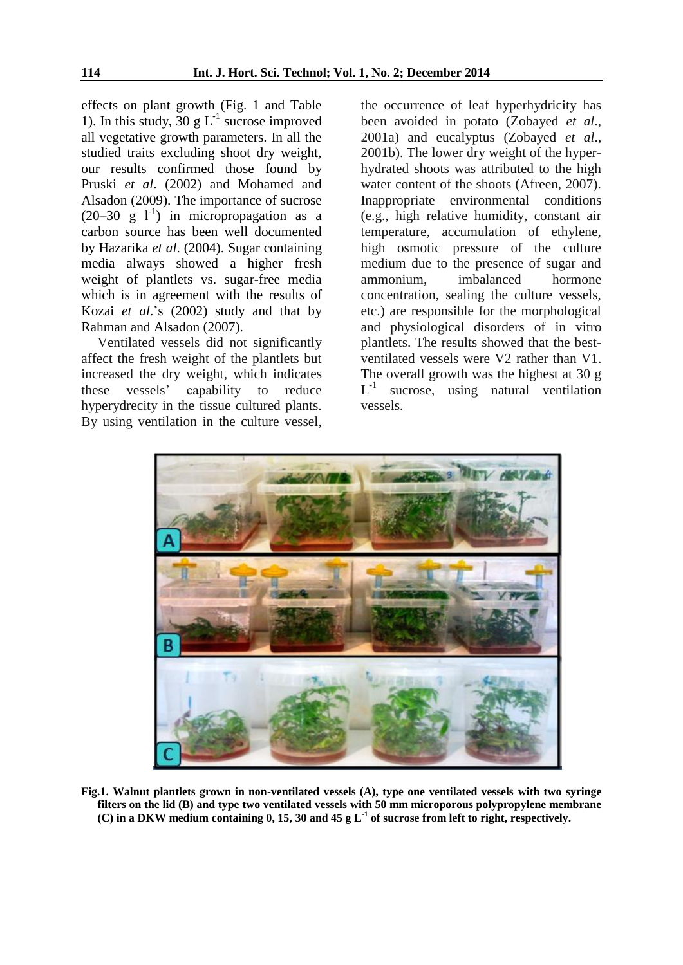effects on plant growth (Fig. 1 and Table 1). In this study, 30 g  $L^{-1}$  sucrose improved all vegetative growth parameters. In all the studied traits excluding shoot dry weight, our results confirmed those found by Pruski *et al*. (2002) and Mohamed and Alsadon (2009). The importance of sucrose  $(20-30 \text{ g } l<sup>-1</sup>)$  in micropropagation as a carbon source has been well documented by Hazarika *et al*. (2004). Sugar containing media always showed a higher fresh weight of plantlets vs. sugar-free media which is in agreement with the results of Kozai *et al*.'s (2002) study and that by Rahman and Alsadon (2007).

Ventilated vessels did not significantly affect the fresh weight of the plantlets but increased the dry weight, which indicates these vessels' capability to reduce hyperydrecity in the tissue cultured plants. By using ventilation in the culture vessel,

the occurrence of leaf hyperhydricity has been avoided in potato (Zobayed *et al*., 2001a) and eucalyptus (Zobayed *et al*., 2001b). The lower dry weight of the hyperhydrated shoots was attributed to the high water content of the shoots (Afreen, 2007). Inappropriate environmental conditions (e.g., high relative humidity, constant air temperature, accumulation of ethylene, high osmotic pressure of the culture medium due to the presence of sugar and ammonium, imbalanced hormone concentration, sealing the culture vessels, etc.) are responsible for the morphological and physiological disorders of in vitro plantlets. The results showed that the bestventilated vessels were V2 rather than V1. The overall growth was the highest at 30 g L -1 sucrose, using natural ventilation vessels.



**Fig.1. Walnut plantlets grown in non-ventilated vessels (A), type one ventilated vessels with two syringe filters on the lid (B) and type two ventilated vessels with 50 mm microporous polypropylene membrane (C) in a DKW medium containing 0, 15, 30 and 45 g L-1 of sucrose from left to right, respectively.**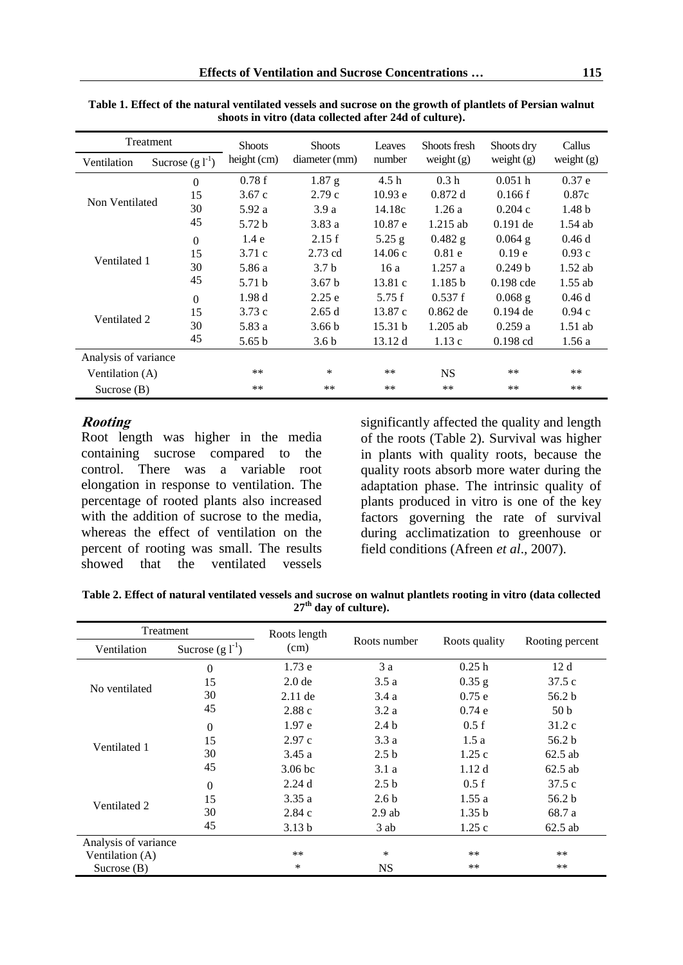| Treatment            |                      | <b>Shoots</b>     | <b>Shoots</b>     | Leaves           | Shoots fresh     | Shoots dry         | Callus            |
|----------------------|----------------------|-------------------|-------------------|------------------|------------------|--------------------|-------------------|
| Ventilation          | Sucrose $(g l^{-1})$ | height (cm)       | diameter (mm)     | number           | weight $(g)$     | weight $(g)$       | weight $(g)$      |
| Non Ventilated       | $\mathbf{0}$         | 0.78f             | $1.87$ g          | 4.5 <sub>h</sub> | 0.3 <sub>h</sub> | 0.051h             | 0.37 e            |
|                      | 15                   | 3.67c             | 2.79c             | 10.93 e          | 0.872 d          | 0.166f             | 0.87c             |
|                      | 30                   | 5.92 a            | 3.9a              | 14.18c           | 1.26a            | 0.204c             | 1.48 <sub>b</sub> |
|                      | 45                   | 5.72 <sub>b</sub> | 3.83a             | 10.87 e          | $1.215$ ab       | $0.191$ de         | $1.54$ ab         |
|                      | $\Omega$             | 1.4e              | 2.15f             | $5.25$ g         | $0.482$ g        | $0.064$ g          | 0.46d             |
| Ventilated 1         | 15                   | 3.71c             | $2.73$ cd         | 14.06c           | 0.81e            | 0.19 <sub>e</sub>  | 0.93c             |
|                      | 30                   | 5.86 a            | 3.7 <sub>b</sub>  | 16a              | 1.257a           | 0.249 <sub>b</sub> | $1.52$ ab         |
|                      | 45                   | 5.71 b            | 3.67 <sub>b</sub> | 13.81c           | 1.185 b          | $0.198$ cde        | $1.55$ ab         |
| Ventilated 2         | $\Omega$             | 1.98d             | 2.25e             | 5.75f            | 0.537f           | $0.068$ g          | 0.46d             |
|                      | 15                   | 3.73c             | 2.65d             | 13.87c           | $0.862$ de       | $0.194$ de         | 0.94c             |
|                      | 30                   | 5.83 a            | 3.66 <sub>b</sub> | 15.31 b          | $1.205$ ab       | 0.259a             | $1.51$ ab         |
|                      | 45                   | 5.65 b            | 3.6 <sub>b</sub>  | 13.12 d          | 1.13c            | $0.198$ cd         | 1.56a             |
| Analysis of variance |                      |                   |                   |                  |                  |                    |                   |
| Ventilation (A)      |                      | $***$             | ∗                 | **               | <b>NS</b>        | **                 | $***$             |
| Sucrose $(B)$        |                      | $***$             | $***$             | $**$             | $***$            | **                 | $***$             |

**Table 1. Effect of the natural ventilated vessels and sucrose on the growth of plantlets of Persian walnut shoots in vitro (data collected after 24d of culture).**

#### **Rooting**

Root length was higher in the media containing sucrose compared to the control. There was a variable root elongation in response to ventilation. The percentage of rooted plants also increased with the addition of sucrose to the media, whereas the effect of ventilation on the percent of rooting was small. The results showed that the ventilated vessels

significantly affected the quality and length of the roots (Table 2). Survival was higher in plants with quality roots, because the quality roots absorb more water during the adaptation phase. The intrinsic quality of plants produced in vitro is one of the key factors governing the rate of survival during acclimatization to greenhouse or field conditions (Afreen *et al*.*,* 2007).

**Table 2. Effect of natural ventilated vessels and sucrose on walnut plantlets rooting in vitro (data collected 27th day of culture).**

| Treatment            |                      | Roots length       |                  |                   |                   |  |
|----------------------|----------------------|--------------------|------------------|-------------------|-------------------|--|
| Ventilation          | Sucrose $(g l^{-1})$ | (cm)               | Roots number     | Roots quality     | Rooting percent   |  |
|                      | $\overline{0}$       | 1.73e              | 3a               | 0.25h             | 12d               |  |
| No ventilated        | 15                   | 2.0 <sub>de</sub>  | 3.5a             | $0.35$ g          | 37.5c             |  |
|                      | 30                   | $2.11$ de          | 3.4a             | 0.75e             | 56.2 b            |  |
|                      | 45                   | 2.88c              | 3.2a             | 0.74e             | 50 <sub>b</sub>   |  |
|                      | $\theta$             | 1.97e              | 2.4 <sub>b</sub> | 0.5 f             | 31.2c             |  |
| Ventilated 1         | 15                   | 2.97c              | 3.3a             | 1.5a              | 56.2 <sub>b</sub> |  |
|                      | 30                   | 3.45a              | 2.5 <sub>b</sub> | 1.25c             | $62.5$ ab         |  |
|                      | 45                   | 3.06 <sub>bc</sub> | 3.1 a            | 1.12d             | $62.5$ ab         |  |
|                      | $\Omega$             | 2.24d              | 2.5 <sub>b</sub> | 0.5 f             | 37.5c             |  |
| Ventilated 2         | 15                   | 3.35a              | 2.6 <sub>b</sub> | 1.55a             | 56.2 b            |  |
|                      | 30                   | 2.84c              | $2.9$ ab         | 1.35 <sub>b</sub> | 68.7 a            |  |
|                      | 45                   | 3.13 b             | 3 ab             | 1.25c             | $62.5$ ab         |  |
| Analysis of variance |                      |                    |                  |                   |                   |  |
| Ventilation (A)      |                      | **                 | *                | $***$             | $***$             |  |
| Sucrose $(B)$        |                      | *                  | <b>NS</b>        | **                | $***$             |  |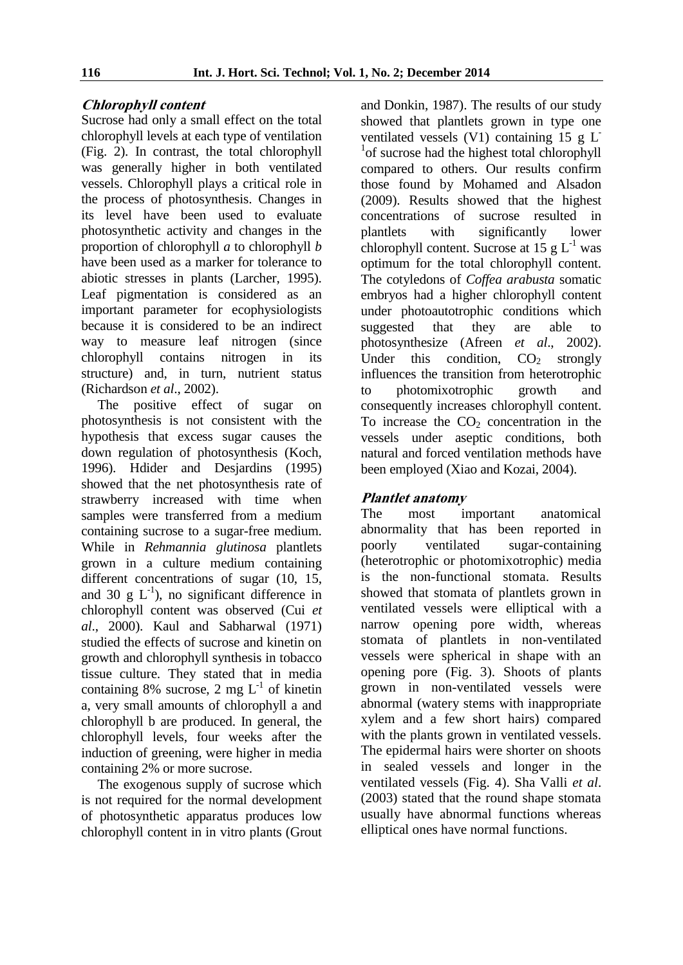### **Chlorophyll content**

Sucrose had only a small effect on the total chlorophyll levels at each type of ventilation (Fig. 2). In contrast, the total chlorophyll was generally higher in both ventilated vessels. Chlorophyll plays a critical role in the process of photosynthesis. Changes in its level have been used to evaluate photosynthetic activity and changes in the proportion of chlorophyll *a* to chlorophyll *b* have been used as a marker for tolerance to abiotic stresses in plants (Larcher, 1995). Leaf pigmentation is considered as an important parameter for ecophysiologists because it is considered to be an indirect way to measure leaf nitrogen (since chlorophyll contains nitrogen in its structure) and, in turn, nutrient status (Richardson *et al*., 2002).

The positive effect of sugar on photosynthesis is not consistent with the hypothesis that excess sugar causes the down regulation of photosynthesis (Koch, 1996). Hdider and Desjardins (1995) showed that the net photosynthesis rate of strawberry increased with time when samples were transferred from a medium containing sucrose to a sugar-free medium. While in *Rehmannia glutinosa* plantlets grown in a culture medium containing different concentrations of sugar  $(10, 15,$ and 30 g  $L^{-1}$ ), no significant difference in chlorophyll content was observed (Cui *et al*., 2000). Kaul and Sabharwal (1971) studied the effects of sucrose and kinetin on growth and chlorophyll synthesis in tobacco tissue culture. They stated that in media containing 8% sucrose, 2 mg  $L^{-1}$  of kinetin a, very small amounts of chlorophyll a and chlorophyll b are produced. In general, the chlorophyll levels, four weeks after the induction of greening, were higher in media containing 2% or more sucrose.

The exogenous supply of sucrose which is not required for the normal development of photosynthetic apparatus produces low chlorophyll content in in vitro plants (Grout and Donkin, 1987). The results of our study showed that plantlets grown in type one ventilated vessels (V1) containing 15 g L-<sup>1</sup>of sucrose had the highest total chlorophyll compared to others. Our results confirm those found by Mohamed and Alsadon (2009). Results showed that the highest concentrations of sucrose resulted in plantlets with significantly lower chlorophyll content. Sucrose at 15  $g L<sup>-1</sup>$  was optimum for the total chlorophyll content. The cotyledons of *Coffea arabusta* somatic embryos had a higher chlorophyll content under photoautotrophic conditions which suggested that they are able to photosynthesize (Afreen *et al*., 2002). Under this condition,  $CO<sub>2</sub>$  strongly influences the transition from heterotrophic to photomixotrophic growth and consequently increases chlorophyll content. To increase the  $CO<sub>2</sub>$  concentration in the vessels under aseptic conditions, both natural and forced ventilation methods have been employed (Xiao and Kozai, 2004).

### **Plantlet anatomy**

The most important anatomical abnormality that has been reported in poorly ventilated sugar-containing (heterotrophic or photomixotrophic) media is the non-functional stomata. Results showed that stomata of plantlets grown in ventilated vessels were elliptical with a narrow opening pore width, whereas stomata of plantlets in non-ventilated vessels were spherical in shape with an opening pore (Fig. 3). Shoots of plants grown in non-ventilated vessels were abnormal (watery stems with inappropriate xylem and a few short hairs) compared with the plants grown in ventilated vessels. The epidermal hairs were shorter on shoots in sealed vessels and longer in the ventilated vessels (Fig. 4). Sha Valli *et al*. (2003) stated that the round shape stomata usually have abnormal functions whereas elliptical ones have normal functions.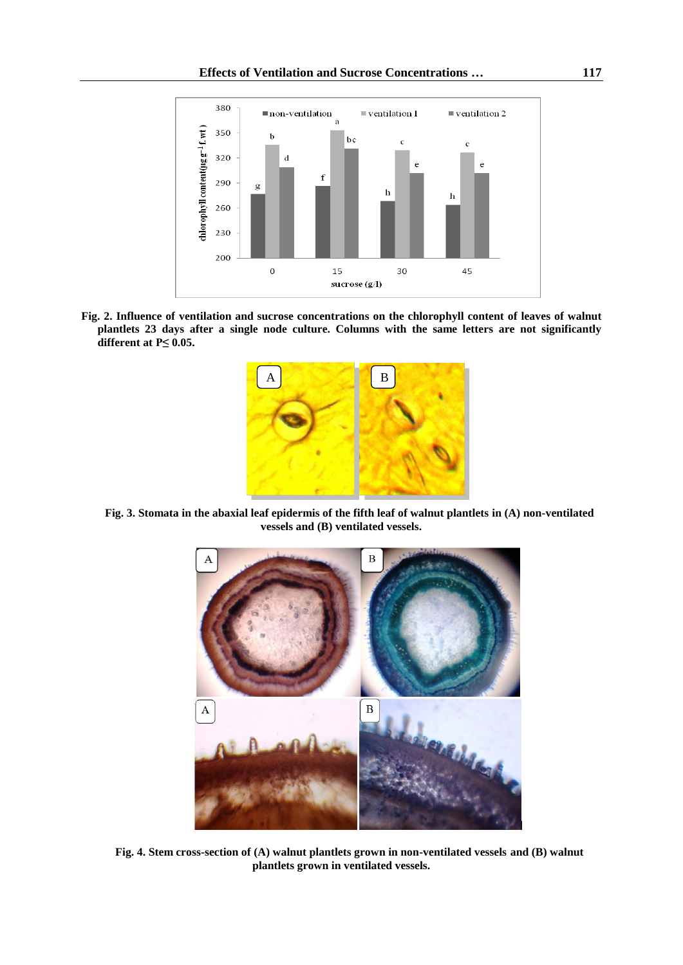#### **Effects of Ventilation and Sucrose Concentrations … 117**



**Fig. 2. Influence of ventilation and sucrose concentrations on the chlorophyll content of leaves of walnut plantlets 23 days after a single node culture. Columns with the same letters are not significantly different at P≤ 0.05.**



**Fig. 3. Stomata in the abaxial leaf epidermis of the fifth leaf of walnut plantlets in (A) non-ventilated vessels and (B) ventilated vessels.**



**Fig. 4. Stem cross-section of (A) walnut plantlets grown in non-ventilated vessels and (B) walnut plantlets grown in ventilated vessels.**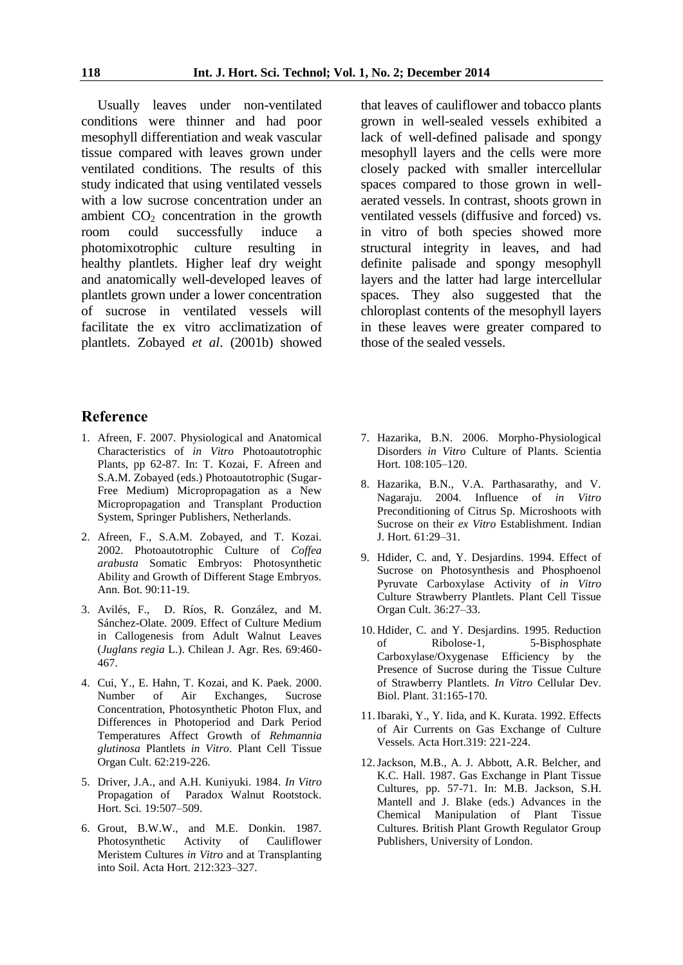Usually leaves under non-ventilated conditions were thinner and had poor mesophyll differentiation and weak vascular tissue compared with leaves grown under ventilated conditions. The results of this study indicated that using ventilated vessels with a low sucrose concentration under an ambient  $CO<sub>2</sub>$  concentration in the growth room could successfully induce a room could successfully induce a photomixotrophic culture resulting in healthy plantlets. Higher leaf dry weight and anatomically well-developed leaves of plantlets grown under a lower concentration of sucrose in ventilated vessels will facilitate the ex vitro acclimatization of plantlets. Zobayed *et al*. (2001b) showed

that leaves of cauliflower and tobacco plants grown in well-sealed vessels exhibited a lack of well-defined palisade and spongy mesophyll layers and the cells were more closely packed with smaller intercellular spaces compared to those grown in wellaerated vessels. In contrast, shoots grown in ventilated vessels (diffusive and forced) vs. in vitro of both species showed more structural integrity in leaves, and had definite palisade and spongy mesophyll layers and the latter had large intercellular spaces. They also suggested that the chloroplast contents of the mesophyll layers in these leaves were greater compared to those of the sealed vessels.

#### **Reference**

- 1. Afreen, F. 2007. Physiological and Anatomical Characteristics of *in Vitro* Photoautotrophic Plants, pp 62-87. In: T. Kozai, F. Afreen and S.A.M. Zobayed (eds.) Photoautotrophic (Sugar-Free Medium) Micropropagation as a New Micropropagation and Transplant Production System, Springer Publishers, Netherlands.
- 2. Afreen, F., S.A.M. Zobayed, and T. Kozai. 2002. Photoautotrophic Culture of *Coffea arabusta* Somatic Embryos: Photosynthetic Ability and Growth of Different Stage Embryos. Ann. Bot. 90:11-19.
- 3. Avilés, F., D. Ríos, R. González, and M. Sánchez-Olate. 2009. Effect of Culture Medium in Callogenesis from Adult Walnut Leaves (*Juglans regia* L.). Chilean J. Agr. Res. 69:460- 467.
- 4. Cui, Y., E. Hahn, T. Kozai, and K. Paek. 2000. Number of Air Exchanges, Sucrose Concentration, Photosynthetic Photon Flux, and Differences in Photoperiod and Dark Period Temperatures Affect Growth of *Rehmannia glutinosa* Plantlets *in Vitro*. Plant Cell Tissue Organ Cult. 62:219-226.
- 5. Driver, J.A., and A.H. Kuniyuki. 1984. *In Vitro* Propagation of Paradox Walnut Rootstock. Hort. Sci*.* 19:507–509.
- 6. Grout, B.W.W., and M.E. Donkin. 1987. Photosynthetic Activity of Cauliflower Meristem Cultures *in Vitro* and at Transplanting into Soil. Acta Hort*.* 212:323–327.
- 7. Hazarika, B.N. 2006. Morpho-Physiological Disorders *in Vitro* Culture of Plants. Scientia Hort*.* 108:105–120.
- 8. Hazarika, B.N., V.A. Parthasarathy, and V. Nagaraju. 2004. Influence of *in Vitro* Preconditioning of Citrus Sp. Microshoots with Sucrose on their *ex Vitro* Establishment. Indian J. Hort*.* 61:29–31.
- 9. Hdider, C. and, Y. Desjardins. 1994. Effect of Sucrose on Photosynthesis and Phosphoenol Pyruvate Carboxylase Activity of *in Vitro* Culture Strawberry Plantlets. Plant Cell Tissue Organ Cult. 36:27–33.
- 10. Hdider, C. and Y. Desjardins. 1995. Reduction of Ribolose-1, 5-Bisphosphate Carboxylase/Oxygenase Efficiency by the Presence of Sucrose during the Tissue Culture of Strawberry Plantlets. *In Vitro* Cellular Dev. Biol. Plant. 31:165-170.
- 11.Ibaraki, Y., Y. Iida, and K. Kurata. 1992. Effects of Air Currents on Gas Exchange of Culture Vessels. Acta Hort.319: 221-224.
- 12.Jackson, M.B., A. J. Abbott, A.R. Belcher, and K.C. Hall. 1987. Gas Exchange in Plant Tissue Cultures, pp. 57-71. In: M.B. Jackson, S.H. Mantell and J. Blake (eds.) Advances in the Chemical Manipulation of Plant Tissue Cultures. British Plant Growth Regulator Group Publishers, University of London.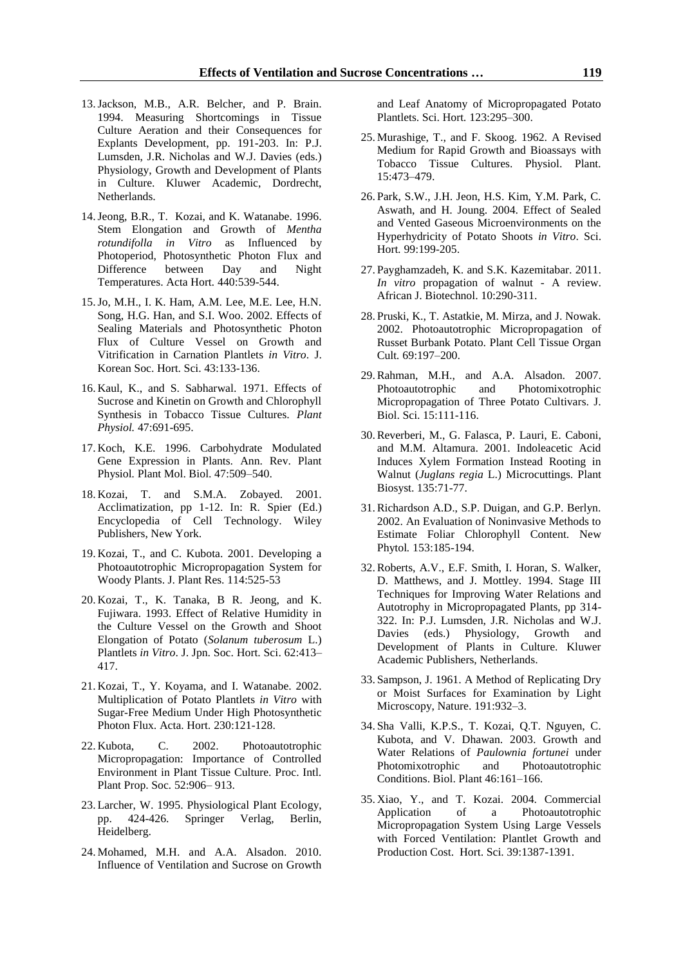- 13.Jackson, M.B., A.R. Belcher, and P. Brain. 1994. Measuring Shortcomings in Tissue Culture Aeration and their Consequences for Explants Development, pp. 191-203. In: P.J. Lumsden, J.R. Nicholas and W.J. Davies (eds.) Physiology, Growth and Development of Plants in Culture. Kluwer Academic, Dordrecht, Netherlands.
- 14.Jeong, B.R., T. Kozai, and K. Watanabe. 1996. Stem Elongation and Growth of *Mentha rotundifolla in Vitro* as Influenced by Photoperiod, Photosynthetic Photon Flux and Difference between Day and Night Temperatures. Acta Hort*.* 440:539-544.
- 15.Jo, M.H., I. K. Ham, A.M. Lee, M.E. Lee, H.N. Song, H.G. Han, and S.I. Woo. 2002. Effects of Sealing Materials and Photosynthetic Photon Flux of Culture Vessel on Growth and Vitrification in Carnation Plantlets *in Vitro*. J. Korean Soc. Hort. Sci. 43:133-136.
- 16. Kaul, K., and S. Sabharwal. 1971. Effects of Sucrose and Kinetin on Growth and Chlorophyll Synthesis in Tobacco Tissue Cultures. *Plant Physiol.* 47:691-695.
- 17. Koch, K.E. 1996. Carbohydrate Modulated Gene Expression in Plants. Ann. Rev. Plant Physiol*.* Plant Mol. Biol. 47:509–540.
- 18. Kozai, T. and S.M.A. Zobayed. 2001. Acclimatization, pp 1-12. In: R. Spier (Ed.) Encyclopedia of Cell Technology. Wiley Publishers, New York.
- 19. Kozai, T., and C. Kubota. 2001. Developing a Photoautotrophic Micropropagation System for Woody Plants. J. Plant Res. 114:525-53
- 20. Kozai, T., K. Tanaka, B R. Jeong, and K. Fujiwara. 1993. Effect of Relative Humidity in the Culture Vessel on the Growth and Shoot Elongation of Potato (*Solanum tuberosum* L.) Plantlets *in Vitro*. J. Jpn. Soc. Hort. Sci. 62:413– 417.
- 21. Kozai, T., Y. Koyama, and I. Watanabe. 2002. Multiplication of Potato Plantlets *in Vitro* with Sugar-Free Medium Under High Photosynthetic Photon Flux. Acta. Hort*.* 230:121-128.
- 22. Kubota, C. 2002. Photoautotrophic Micropropagation: Importance of Controlled Environment in Plant Tissue Culture. Proc. Intl. Plant Prop. Soc*.* 52:906– 913.
- 23. Larcher, W. 1995. Physiological Plant Ecology, pp. 424-426. Springer Verlag, Berlin, Heidelberg.
- 24. Mohamed, M.H. and A.A. Alsadon. 2010. Influence of Ventilation and Sucrose on Growth

and Leaf Anatomy of Micropropagated Potato Plantlets. Sci. Hort*.* 123:295–300.

- 25. Murashige, T., and F. Skoog. 1962. A Revised Medium for Rapid Growth and Bioassays with Tobacco Tissue Cultures. Physiol. Plant*.* 15:473–479.
- 26. Park, S.W., J.H. Jeon, H.S. Kim, Y.M. Park, C. Aswath, and H. Joung. 2004. Effect of Sealed and Vented Gaseous Microenvironments on the Hyperhydricity of Potato Shoots *in Vitro*. Sci. Hort*.* 99:199-205.
- 27. Payghamzadeh, K. and S.K. Kazemitabar. 2011. *In vitro* propagation of walnut - A review. African J. Biotechnol. 10:290-311.
- 28. Pruski, K., T. Astatkie, M. Mirza, and J. Nowak. 2002. Photoautotrophic Micropropagation of Russet Burbank Potato. Plant Cell Tissue Organ Cult*.* 69:197–200.
- 29.Rahman, M.H., and A.A. Alsadon. 2007. Photoautotrophic and Photomixotrophic Micropropagation of Three Potato Cultivars. J. Biol. Sci. 15:111-116.
- 30.Reverberi, M., G. Falasca, P. Lauri, E. Caboni, and M.M. Altamura. 2001. Indoleacetic Acid Induces Xylem Formation Instead Rooting in Walnut (*Juglans regia* L.) Microcuttings. Plant Biosyst. 135:71-77.
- 31.Richardson A.D., S.P. Duigan, and G.P. Berlyn. 2002. An Evaluation of Noninvasive Methods to Estimate Foliar Chlorophyll Content. New Phytol*.* 153:185-194.
- 32.Roberts, A.V., E.F. Smith, I. Horan, S. Walker, D. Matthews, and J. Mottley. 1994. Stage III Techniques for Improving Water Relations and Autotrophy in Micropropagated Plants, pp 314- 322. In: P.J. Lumsden, J.R. Nicholas and W.J. Davies (eds.) Physiology, Growth and Development of Plants in Culture. Kluwer Academic Publishers, Netherlands.
- 33. Sampson, J. 1961. A Method of Replicating Dry or Moist Surfaces for Examination by Light Microscopy, Nature. 191:932–3.
- 34. Sha Valli, K.P.S., T. Kozai, Q.T. Nguyen, C. Kubota, and V. Dhawan. 2003. Growth and Water Relations of *Paulownia fortunei* under Photomixotrophic and Photoautotrophic Conditions. Biol. Plant 46:161–166.
- 35. Xiao, Y., and T. Kozai. 2004. Commercial Application of a Photoautotrophic Micropropagation System Using Large Vessels with Forced Ventilation: Plantlet Growth and Production Cost. Hort. Sci. 39:1387-1391.